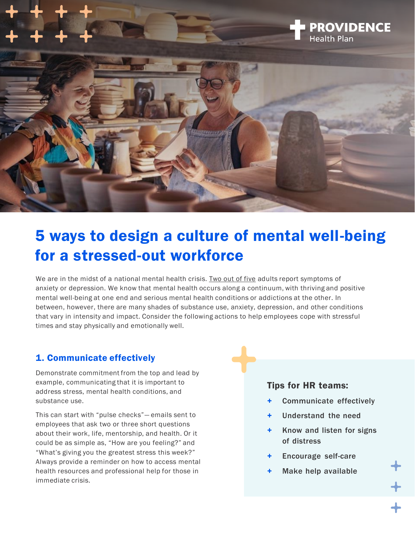

# 5 ways to design a culture of mental well-being for a stressed-out workforce

We are in the midst of a national mental health crisis. [Two out of five](https://www.cdc.gov/mmwr/volumes/70/wr/mm7013e2.htm) adults report symptoms of anxiety or depression. We know that mental health occurs along a continuum, with thriving and positive mental well-being at one end and serious mental health conditions or addictions at the other. In between, however, there are many shades of substance use, anxiety, depression, and other conditions that vary in intensity and impact. Consider the following actions to help employees cope with stressful times and stay physically and emotionally well.

#### 1. Communicate effectively

Demonstrate commitment from the top and lead by example, communicating that it is important to address stress, mental health conditions, and substance use.

This can start with "pulse checks"— emails sent to employees that ask two or three short questions about their work, life, mentorship, and health. Or it could be as simple as, "How are you feeling?" and "What's giving you the greatest stress this week?" Always provide a reminder on how to access mental health resources and professional help for those in immediate crisis.

#### Tips for HR teams:

- Communicate effectively
- Understand the need
- + Know and listen for signs of distress
- Encourage self-care
- Make help available